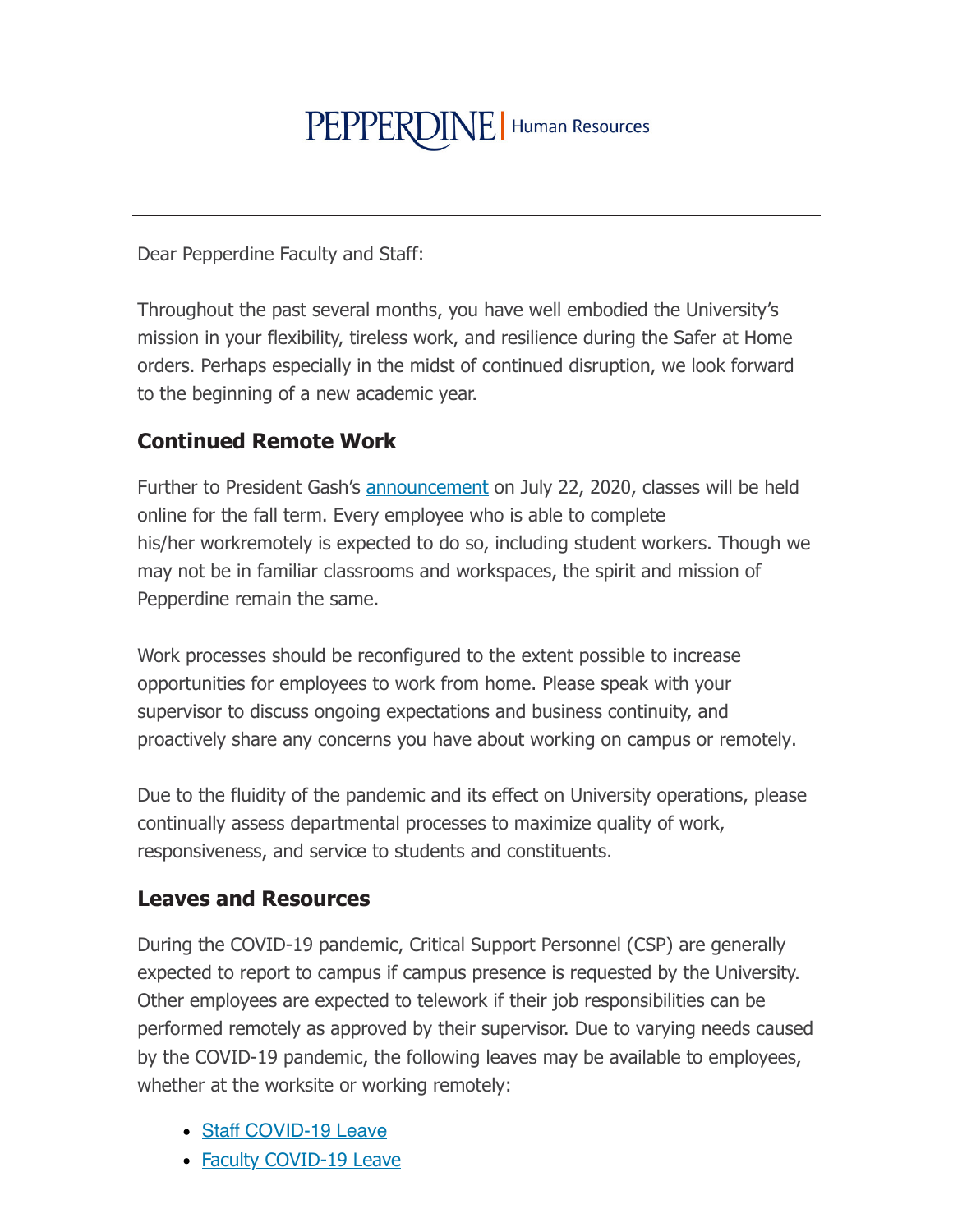# PEPPERDINE | Human Resources

Dear Pepperdine Faculty and Staff:

Throughout the past several months, you have well embodied the University's mission in your flexibility, tireless work, and resilience during the Safer at Home orders. Perhaps especially in the midst of continued disruption, we look forward to the beginning of a new academic year.

## **Continued Remote Work**

Further to President Gash's announcement on July 22, 2020, classes will be held online for the fall term. Every employee who is able to complete his/her workremotely is expected to do so, including student workers. Though we may not be in familiar classrooms and workspaces, the spirit and mission of Pepperdine remain the same.

Work processes should be reconfigured to the extent possible to increase opportunities for employees to work from home. Please speak with your supervisor to discuss ongoing expectations and business continuity, and proactively share any concerns you have about working on campus or remotely.

Due to the fluidity of the pandemic and its effect on University operations, please continually assess departmental processes to maximize quality of work, responsiveness, and service to students and constituents.

#### **Leaves and Resources**

During the COVID-19 pandemic, Critical Support Personnel (CSP) are generally expected to report to campus if campus presence is requested by the University. Other employees are expected to telework if their job responsibilities can be performed remotely as approved by their supervisor. Due to varying needs caused by the COVID-19 pandemic, the following leaves may be available to employees, whether at the worksite or working remotely:

- Staff COVID-19 Leave
- Faculty COVID-19 Leave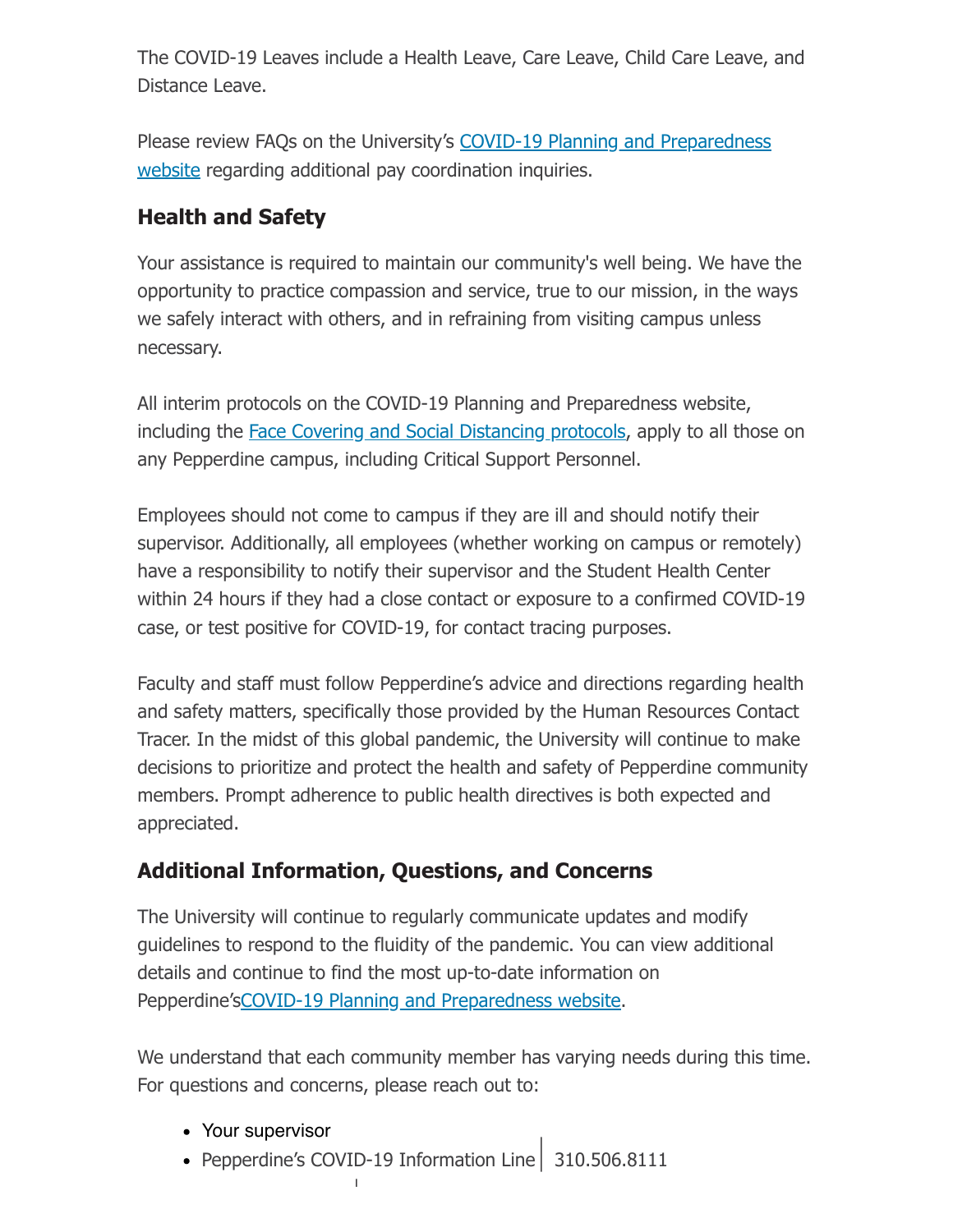The COVID-19 Leaves include a Health Leave, Care Leave, Child Care Leave, and Distance Leave.

Please review FAOs on the University's COVID-19 Planning and Preparedness website regarding additional pay coordination inquiries.

# **Health and Safety**

Your assistance is required to maintain our community's well being. We have the opportunity to practice compassion and service, true to our mission, in the ways we safely interact with others, and in refraining from visiting campus unless necessary.

All interim protocols on the COVID-19 Planning and Preparedness website, including the Face Covering and Social Distancing protocols, apply to all those on any Pepperdine campus, including Critical Support Personnel.

Employees should not come to campus if they are ill and should notify their supervisor. Additionally, all employees (whether working on campus or remotely) have a responsibility to notify their supervisor and the Student Health Center within 24 hours if they had a close contact or exposure to a confirmed COVID-19 case, or test positive for COVID-19, for contact tracing purposes.

Faculty and staff must follow Pepperdine's advice and directions regarding health and safety matters, specifically those provided by the Human Resources Contact Tracer. In the midst of this global pandemic, the University will continue to make decisions to prioritize and protect the health and safety of Pepperdine community members. Prompt adherence to public health directives is both expected and appreciated.

## **Additional Information, Questions, and Concerns**

The University will continue to regularly communicate updates and modify guidelines to respond to the fluidity of the pandemic. You can view additional details and continue to find the most up-to-date information on Pepperdine's COVID-19 Planning and Preparedness website.

We understand that each community member has varying needs during this time. For questions and concerns, please reach out to:

- Your supervisor
- Pepperdine's COVID-19 Information Line 310.506.8111